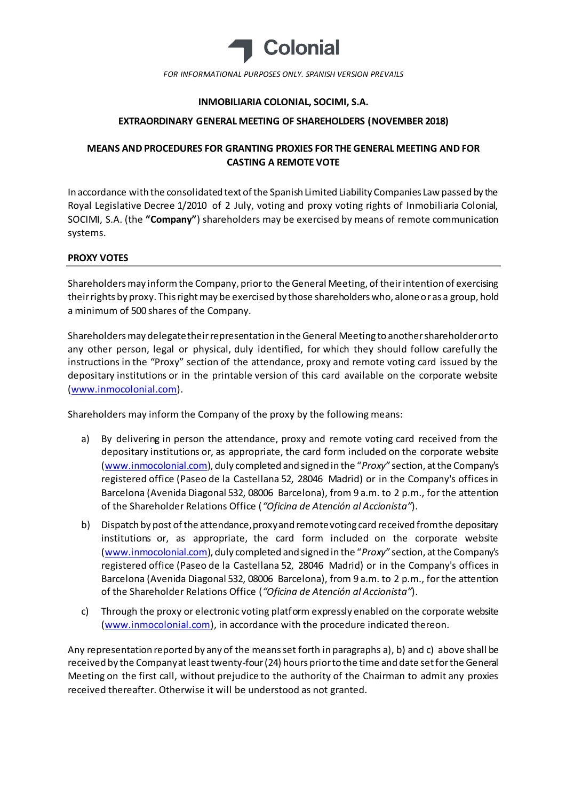

*FOR INFORMATIONAL PURPOSES ONLY. SPANISH VERSION PREVAILS*

## **INMOBILIARIA COLONIAL, SOCIMI, S.A.**

## **EXTRAORDINARY GENERAL MEETING OF SHAREHOLDERS (NOVEMBER 2018)**

# **MEANS AND PROCEDURES FOR GRANTING PROXIES FOR THE GENERAL MEETING AND FOR CASTING A REMOTE VOTE**

In accordance with the consolidated text of the Spanish Limited Liability Companies Law passed by the Royal Legislative Decree 1/2010 of 2 July, voting and proxy voting rights of Inmobiliaria Colonial, SOCIMI, S.A. (the **"Company"**) shareholders may be exercised by means of remote communication systems.

## **PROXY VOTES**

Shareholders may inform the Company, prior to the General Meeting, of their intention of exercising their rights by proxy. This right may be exercised by those shareholders who, alone or as a group, hold a minimum of 500 shares of the Company.

Shareholders may delegate their representation in the General Meeting to another shareholder or to any other person, legal or physical, duly identified, for which they should follow carefully the instructions in the "Proxy" section of the attendance, proxy and remote voting card issued by the depositary institutions or in the printable version of this card available on the corporate website [\(www.inmocolonial.com](http://www.inmocolonial.com/)).

Shareholders may inform the Company of the proxy by the following means:

- a) By delivering in person the attendance, proxy and remote voting card received from the depositary institutions or, as appropriate, the card form included on the corporate website [\(www.inmocolonial.com](http://www.inmocolonial.com/)), duly completed and signed in the "*Proxy*" section, at the Company's registered office (Paseo de la Castellana 52, 28046 Madrid) or in the Company's offices in Barcelona (Avenida Diagonal 532, 08006 Barcelona), from 9 a.m. to 2 p.m., for the attention of the Shareholder Relations Office (*"Oficina de Atención al Accionista"*).
- b) Dispatch by post of the attendance, proxy and remote voting card received from the depositary institutions or, as appropriate, the card form included on the corporate website [\(www.inmocolonial.com](http://www.inmocolonial.com/)), duly completed and signed in the "*Proxy*" section, at the Company's registered office (Paseo de la Castellana 52, 28046 Madrid) or in the Company's offices in Barcelona (Avenida Diagonal 532, 08006 Barcelona), from 9 a.m. to 2 p.m., for the attention of the Shareholder Relations Office (*"Oficina de Atención al Accionista"*).
- c) Through the proxy or electronic voting platform expressly enabled on the corporate website [\(www.inmocolonial.com](http://www.inmocolonial.com/)), in accordance with the procedure indicated thereon.

Any representation reported by any of the means set forth in paragraphs a), b) and c) above shall be received by the Company at least twenty-four (24) hours prior to the time and date set for the General Meeting on the first call, without prejudice to the authority of the Chairman to admit any proxies received thereafter. Otherwise it will be understood as not granted.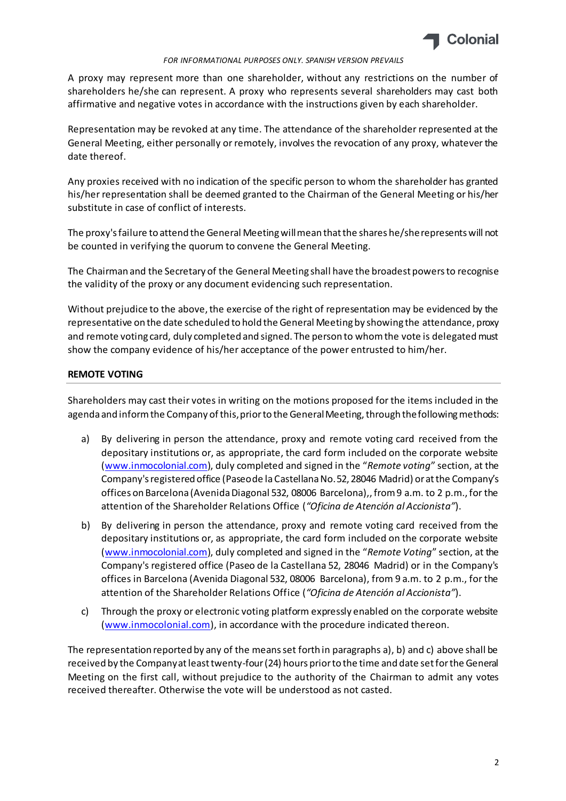

#### *FOR INFORMATIONAL PURPOSES ONLY. SPANISH VERSION PREVAILS*

A proxy may represent more than one shareholder, without any restrictions on the number of shareholders he/she can represent. A proxy who represents several shareholders may cast both affirmative and negative votes in accordance with the instructions given by each shareholder.

Representation may be revoked at any time. The attendance of the shareholder represented at the General Meeting, either personally or remotely, involves the revocation of any proxy, whatever the date thereof.

Any proxies received with no indication of the specific person to whom the shareholder has granted his/her representation shall be deemed granted to the Chairman of the General Meeting or his/her substitute in case of conflict of interests.

The proxy's failure to attend the General Meeting will mean that the shares he/she represents will not be counted in verifying the quorum to convene the General Meeting.

The Chairman and the Secretary of the General Meeting shall have the broadest powers to recognise the validity of the proxy or any document evidencing such representation.

Without prejudice to the above, the exercise of the right of representation may be evidenced by the representative on the date scheduled to hold the General Meeting by showing the attendance, proxy and remote voting card, duly completed and signed. The person to whom the vote is delegated must show the company evidence of his/her acceptance of the power entrusted to him/her.

### **REMOTE VOTING**

Shareholders may cast their votes in writing on the motions proposed for the items included in the agenda and inform the Company of this, prior to the General Meeting, through the following methods:

- a) By delivering in person the attendance, proxy and remote voting card received from the depositary institutions or, as appropriate, the card form included on the corporate website [\(www.inmocolonial.com](http://www.inmocolonial.com/)), duly completed and signed in the "*Remote voting*" section, at the Company's registered office (Paseo de la Castellana No. 52, 28046 Madrid) or at the Company's offices on Barcelona (Avenida Diagonal 532, 08006 Barcelona),, from 9 a.m. to 2 p.m., for the attention of the Shareholder Relations Office (*"Oficina de Atención al Accionista"*).
- b) By delivering in person the attendance, proxy and remote voting card received from the depositary institutions or, as appropriate, the card form included on the corporate website [\(www.inmocolonial.com](http://www.inmocolonial.com/)), duly completed and signed in the "*Remote Voting*" section, at the Company's registered office (Paseo de la Castellana 52, 28046 Madrid) or in the Company's offices in Barcelona (Avenida Diagonal 532, 08006 Barcelona), from 9 a.m. to 2 p.m., for the attention of the Shareholder Relations Office (*"Oficina de Atención al Accionista"*).
- c) Through the proxy or electronic voting platform expressly enabled on the corporate website [\(www.inmocolonial.com](http://www.inmocolonial.com/)), in accordance with the procedure indicated thereon.

The representation reported by any of the means set forth in paragraphs a), b) and c) above shall be received by the Company at least twenty-four (24) hours prior to the time and date set for the General Meeting on the first call, without prejudice to the authority of the Chairman to admit any votes received thereafter. Otherwise the vote will be understood as not casted.